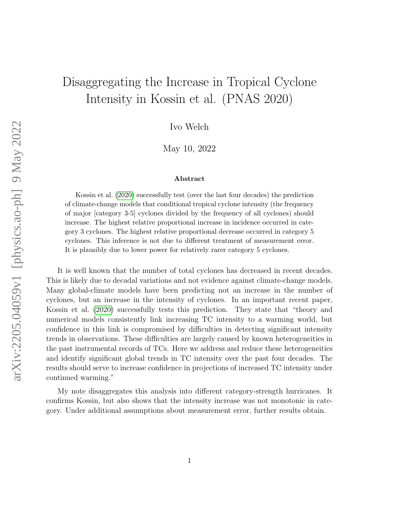# Disaggregating the Increase in Tropical Cyclone Intensity in Kossin et al. (PNAS 2020)

Ivo Welch

May 10, 2022

#### Abstract

Kossin et al. [\(2020\)](#page-5-0) successfully test (over the last four decades) the prediction of climate-change models that conditional tropical cyclone intensity (the frequency of major [category 3-5] cyclones divided by the frequency of all cyclones) should increase. The highest relative proportional increase in incidence occurred in category 3 cyclones. The highest relative proportional decrease occurred in category 5 cyclones. This inference is not due to different treatment of measurement error. It is plausibly due to lower power for relatively rarer category 5 cyclones.

It is well known that the number of total cyclones has decreased in recent decades. This is likely due to decadal variations and not evidence against climate-change models. Many global-climate models have been predicting not an increase in the number of cyclones, but an increase in the intensity of cyclones. In an important recent paper, Kossin et al. [\(2020\)](#page-5-0) successfully tests this prediction. They state that "theory and numerical models consistently link increasing TC intensity to a warming world, but confidence in this link is compromised by difficulties in detecting significant intensity trends in observations. These difficulties are largely caused by known heterogeneities in the past instrumental records of TCs. Here we address and reduce these heterogeneities and identify significant global trends in TC intensity over the past four decades. The results should serve to increase confidence in projections of increased TC intensity under continued warming."

My note disaggregates this analysis into different category-strength hurricanes. It confirms Kossin, but also shows that the intensity increase was not monotonic in category. Under additional assumptions about measurement error, further results obtain.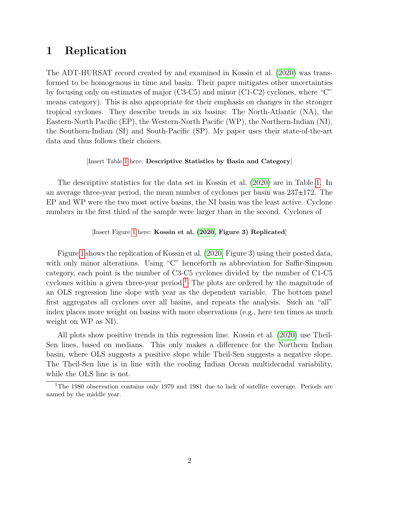# 1 Replication

The ADT-HURSAT record created by and examined in Kossin et al. [\(2020\)](#page-5-0) was transformed to be homogenous in time and basin. Their paper mitigates other uncertainties by focusing only on estimates of major (C3-C5) and minor (C1-C2) cyclones, where "C" means category). This is also appropriate for their emphasis on changes in the stronger tropical cyclones. They describe trends in six basins: The North-Atlantic (NA), the Eastern-North Pacific (EP), the Western-North Pacific (WP), the Northern-Indian (NI), the Southern-Indian (SI) and South-Pacific (SP). My paper uses their state-of-the-art data and thus follows their choices.

#### [Insert Table [1](#page-6-0) here: Descriptive Statistics by Basin and Category]

The descriptive statistics for the data set in Kossin et al. [\(2020\)](#page-5-0) are in Table [1.](#page-6-0) In an average three-year period, the mean number of cyclones per basin was  $237\pm172$ . The EP and WP were the two most active basins, the NI basin was the least active. Cyclone numbers in the first third of the sample were larger than in the second. Cyclones of

#### [Insert Figure [1](#page-7-0) here: Kossin et al. [\(2020,](#page-5-0) Figure 3) Replicated]

Figure [1](#page-7-0) shows the replication of Kossin et al. [\(2020,](#page-5-0) Figure 3) using their posted data, with only minor alterations. Using "C" henceforth as abbreviation for Saffir-Simpson category, each point is the number of C3-C5 cyclones divided by the number of C1-C5 cyclones within a given three-year period.<sup>[1](#page-1-0)</sup> The plots are ordered by the magnitude of an OLS regression line slope with year as the dependent variable. The bottom panel first aggregates all cyclones over all basins, and repeats the analysis. Such an "all" index places more weight on basins with more observations (e.g., here ten times as much weight on WP as NI).

All plots show positive trends in this regression line. Kossin et al. [\(2020\)](#page-5-0) use Theil-Sen lines, based on medians. This only makes a difference for the Northern Indian basin, where OLS suggests a positive slope while Theil-Sen suggests a negative slope. The Theil-Sen line is in line with the cooling Indian Ocean multidecadal variability, while the OLS line is not.

<span id="page-1-0"></span><sup>&</sup>lt;sup>1</sup>The 1980 observation contains only 1979 and 1981 due to lack of satellite coverage. Periods are named by the middle year.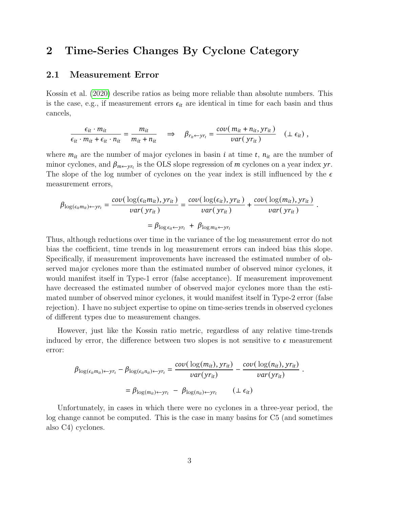# 2 Time-Series Changes By Cyclone Category

### 2.1 Measurement Error

Kossin et al. [\(2020\)](#page-5-0) describe ratios as being more reliable than absolute numbers. This is the case, e.g., if measurement errors  $\epsilon_{it}$  are identical in time for each basin and thus cancels,

$$
\frac{\epsilon_{it} \cdot m_{it}}{\epsilon_{it} \cdot m_{it} + \epsilon_{it} \cdot n_{it}} = \frac{m_{it}}{m_{it} + n_{it}} \quad \Rightarrow \quad \beta_{r_{it} \leftarrow yr_t} = \frac{cov(m_{it} + n_{it}, yr_{it})}{var(yr_{it})} \quad (\perp \epsilon_{it}),
$$

where  $m_{it}$  are the number of major cyclones in basin *i* at time *t*,  $n_{it}$  are the number of minor cyclones, and  $\beta_{m\leftarrow yr_t}$  is the OLS slope regression of m cyclones on a year index yr. The slope of the log number of cyclones on the year index is still influenced by the  $\epsilon$ measurement errors,

$$
\beta_{\log(\epsilon_{it}m_{it})\leftarrow yr_t} = \frac{\text{cov}(\log(\epsilon_{it}m_{it}), yr_{it})}{\text{var}(yr_{it})} = \frac{\text{cov}(\log(\epsilon_{it}), yr_{it})}{\text{var}(yr_{it})} + \frac{\text{cov}(\log(m_{it}), yr_{it})}{\text{var}(yr_{it})}.
$$

$$
= \beta_{\log \epsilon_{it} \leftarrow yr_t} + \beta_{\log m_{it} \leftarrow yr_t}
$$

Thus, although reductions over time in the variance of the log measurement error do not bias the coefficient, time trends in log measurement errors can indeed bias this slope. Specifically, if measurement improvements have increased the estimated number of observed major cyclones more than the estimated number of observed minor cyclones, it would manifest itself in Type-1 error (false acceptance). If measurement improvement have decreased the estimated number of observed major cyclones more than the estimated number of observed minor cyclones, it would manifest itself in Type-2 error (false rejection). I have no subject expertise to opine on time-series trends in observed cyclones of different types due to measurement changes.

However, just like the Kossin ratio metric, regardless of any relative time-trends induced by error, the difference between two slopes is not sensitive to  $\epsilon$  measurement error:

$$
\beta_{\log(\epsilon_{it}m_{it})\leftarrow yr_t} - \beta_{\log(\epsilon_{it}n_{it})\leftarrow yr_t} = \frac{\text{cov}(\log(m_{it}), yr_{it})}{\text{var}(yr_{it})} - \frac{\text{cov}(\log(n_{it}), yr_{it})}{\text{var}(yr_{it})}
$$

$$
= \beta_{\log(m_{it})\leftarrow yr_t} - \beta_{\log(n_{it})\leftarrow yr_t} \qquad (\perp \epsilon_{it})
$$

.

Unfortunately, in cases in which there were no cyclones in a three-year period, the log change cannot be computed. This is the case in many basins for C5 (and sometimes also C4) cyclones.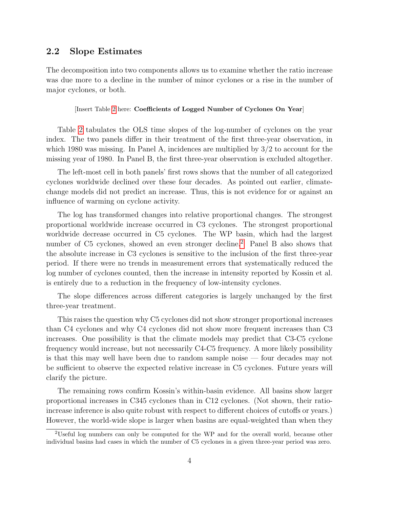### 2.2 Slope Estimates

The decomposition into two components allows us to examine whether the ratio increase was due more to a decline in the number of minor cyclones or a rise in the number of major cyclones, or both.

[Insert Table [2](#page-8-0) here: Coefficients of Logged Number of Cyclones On Year]

Table [2](#page-8-0) tabulates the OLS time slopes of the log-number of cyclones on the year index. The two panels differ in their treatment of the first three-year observation, in which 1980 was missing. In Panel A, incidences are multiplied by  $3/2$  to account for the missing year of 1980. In Panel B, the first three-year observation is excluded altogether.

The left-most cell in both panels' first rows shows that the number of all categorized cyclones worldwide declined over these four decades. As pointed out earlier, climatechange models did not predict an increase. Thus, this is not evidence for or against an influence of warming on cyclone activity.

The log has transformed changes into relative proportional changes. The strongest proportional worldwide increase occurred in C3 cyclones. The strongest proportional worldwide decrease occurred in C5 cyclones. The WP basin, which had the largest number of C5 cyclones, showed an even stronger decline.<sup>[2](#page-3-0)</sup> Panel B also shows that the absolute increase in C3 cyclones is sensitive to the inclusion of the first three-year period. If there were no trends in measurement errors that systematically reduced the log number of cyclones counted, then the increase in intensity reported by Kossin et al. is entirely due to a reduction in the frequency of low-intensity cyclones.

The slope differences across different categories is largely unchanged by the first three-year treatment.

This raises the question why C5 cyclones did not show stronger proportional increases than C4 cyclones and why C4 cyclones did not show more frequent increases than C3 increases. One possibility is that the climate models may predict that C3-C5 cyclone frequency would increase, but not necessarily C4-C5 frequency. A more likely possibility is that this may well have been due to random sample noise — four decades may not be sufficient to observe the expected relative increase in C5 cyclones. Future years will clarify the picture.

The remaining rows confirm Kossin's within-basin evidence. All basins show larger proportional increases in C345 cyclones than in C12 cyclones. (Not shown, their ratioincrease inference is also quite robust with respect to different choices of cutoffs or years.) However, the world-wide slope is larger when basins are equal-weighted than when they

<span id="page-3-0"></span><sup>2</sup>Useful log numbers can only be computed for the WP and for the overall world, because other individual basins had cases in which the number of C5 cyclones in a given three-year period was zero.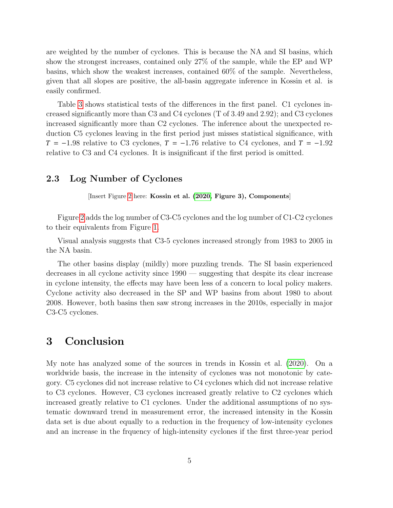are weighted by the number of cyclones. This is because the NA and SI basins, which show the strongest increases, contained only 27% of the sample, while the EP and WP basins, which show the weakest increases, contained 60% of the sample. Nevertheless, given that all slopes are positive, the all-basin aggregate inference in Kossin et al. is easily confirmed.

Table [3](#page-9-0) shows statistical tests of the differences in the first panel. C1 cyclones increased significantly more than C3 and C4 cyclones (T of 3.49 and 2.92); and C3 cyclones increased significantly more than C2 cyclones. The inference about the unexpected reduction C5 cyclones leaving in the first period just misses statistical significance, with  $T = -1.98$  relative to C3 cyclones,  $T = -1.76$  relative to C4 cyclones, and  $T = -1.92$ relative to C3 and C4 cyclones. It is insignificant if the first period is omitted.

### 2.3 Log Number of Cyclones

[Insert Figure [2](#page-10-0) here: Kossin et al. [\(2020,](#page-5-0) Figure 3), Components]

Figure [2](#page-10-0) adds the log number of C3-C5 cyclones and the log number of C1-C2 cyclones to their equivalents from Figure [1.](#page-7-0)

Visual analysis suggests that C3-5 cyclones increased strongly from 1983 to 2005 in the NA basin.

The other basins display (mildly) more puzzling trends. The SI basin experienced decreases in all cyclone activity since 1990 — suggesting that despite its clear increase in cyclone intensity, the effects may have been less of a concern to local policy makers. Cyclone activity also decreased in the SP and WP basins from about 1980 to about 2008. However, both basins then saw strong increases in the 2010s, especially in major C3-C5 cyclones.

## 3 Conclusion

My note has analyzed some of the sources in trends in Kossin et al. [\(2020\)](#page-5-0). On a worldwide basis, the increase in the intensity of cyclones was not monotonic by category. C5 cyclones did not increase relative to C4 cyclones which did not increase relative to C3 cyclones. However, C3 cyclones increased greatly relative to C2 cyclones which increased greatly relative to C1 cyclones. Under the additional assumptions of no systematic downward trend in measurement error, the increased intensity in the Kossin data set is due about equally to a reduction in the frequency of low-intensity cyclones and an increase in the frquency of high-intensity cyclones if the first three-year period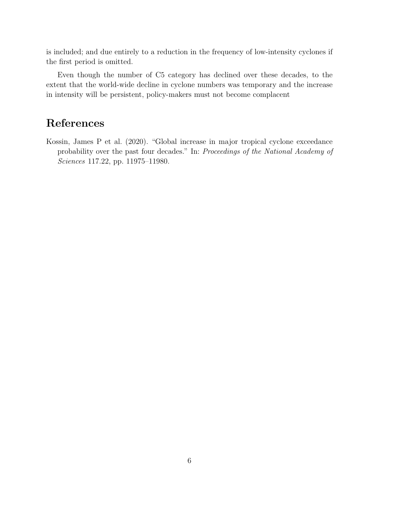is included; and due entirely to a reduction in the frequency of low-intensity cyclones if the first period is omitted.

Even though the number of C5 category has declined over these decades, to the extent that the world-wide decline in cyclone numbers was temporary and the increase in intensity will be persistent, policy-makers must not become complacent

# References

<span id="page-5-0"></span>Kossin, James P et al. (2020). "Global increase in major tropical cyclone exceedance probability over the past four decades." In: Proceedings of the National Academy of Sciences 117.22, pp. 11975–11980.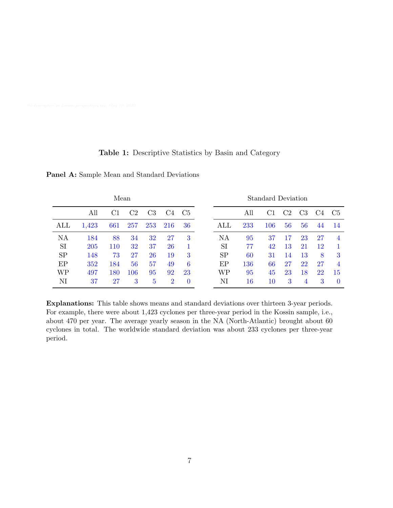### Table 1: Descriptive Statistics by Basin and Category

| Mean      |            |     |     | Standard Deviation |                |                |           |        |     |                |                |                  |                |
|-----------|------------|-----|-----|--------------------|----------------|----------------|-----------|--------|-----|----------------|----------------|------------------|----------------|
|           | All        | C1  | C2  | C <sub>3</sub>     | C4             | C <sub>5</sub> |           | All    | C1  | C <sub>2</sub> | C <sub>3</sub> | C <sup>2</sup> 4 | C <sub>5</sub> |
| ALL       | 1,423      | 661 | 257 | 253                | 216            | 36             | ALL       | 233    | 106 | 56             | 56             | 44               | 14             |
| NA        | 184        | 88  | 34  | 32                 | 27             | 3              | NA        | 95     | 37  | 17             | 23             | 27               | 4              |
| <b>SI</b> | <b>205</b> | 110 | 32  | 37                 | 26             |                | <b>SI</b> | 77     | 42  | 13             | 21             | 12               |                |
| <b>SP</b> | 148        | 73  | 27  | 26                 | 19             | 3              | SP        | 60     | 31  | 14             | 13             | 8                | 3              |
| EP        | 352        | 184 | 56  | 57                 | 49             | 6              | EP        | 136    | 66  | $27\,$         | 22             | $27\,$           | 4              |
| WP        | 497        | 180 | 106 | 95                 | 92             | 23             | WP        | 95     | 45  | 23             | 18             | 22               | 15             |
| NI        | 37         | 27  | 3   | 5                  | $\overline{2}$ | $\overline{0}$ | NI        | $16\,$ | 10  | 3              |                | 3                | $\cup$         |

<span id="page-6-0"></span>Panel A: Sample Mean and Standard Deviations

Explanations: This table shows means and standard deviations over thirteen 3-year periods. For example, there were about 1,423 cyclones per three-year period in the Kossin sample, i.e., about 470 per year. The average yearly season in the NA (North-Atlantic) brought about 60 cyclones in total. The worldwide standard deviation was about 233 cyclones per three-year period.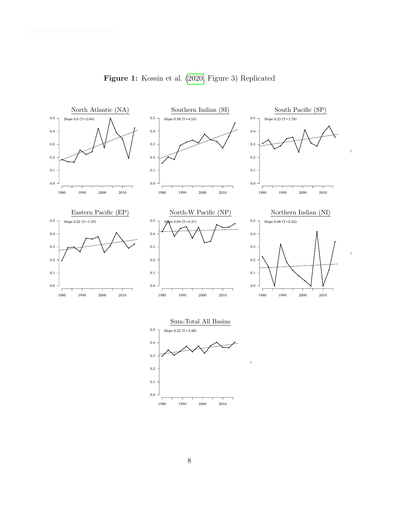<span id="page-7-0"></span>

(c345)/(c12) Hurricane

(c345)/(c12) Hurricane

Figure 1: Kossin et al. [\(2020,](#page-5-0) Figure 3) Replicated



(c345)/(c12) Hurricane

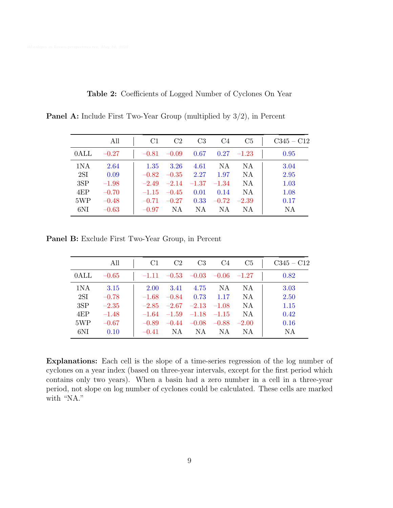|                  | All     | C1      | C <sub>2</sub> | C <sub>3</sub> | C <sub>4</sub> | C <sub>5</sub> | $C345 - C12$ |
|------------------|---------|---------|----------------|----------------|----------------|----------------|--------------|
| 0 <sub>ALL</sub> | $-0.27$ | $-0.81$ | $-0.09$        | 0.67           |                | $0.27 -1.23$   | 0.95         |
| 1NA              | 2.64    | 1.35    | 3.26           | 4.61           | NA             | NA.            | 3.04         |
| 2SI              | 0.09    | $-0.82$ | $-0.35$        | 2.27           | 1.97           | NA             | 2.95         |
| 3SP              | $-1.98$ | $-2.49$ | $-2.14$        | $-1.37$        | $-1.34$        | NA             | 1.03         |
| 4EP              | $-0.70$ | $-1.15$ | $-0.45$        | 0.01           | 0.14           | NA             | 1.08         |
| 5WP              | $-0.48$ | $-0.71$ | $-0.27$        | 0.33           | $-0.72$        | $-2.39$        | 0.17         |
| 6NI              | $-0.63$ | $-0.97$ | NΑ             | NA.            | NA.            | ΝA             | NA           |

Table 2: Coefficients of Logged Number of Cyclones On Year

<span id="page-8-0"></span>Panel A: Include First Two-Year Group (multiplied by 3/2), in Percent

Panel B: Exclude First Two-Year Group, in Percent

|      | All     | C <sub>1</sub> | C <sub>2</sub>      | C <sub>3</sub>  | C <sub>4</sub>  | C5      | $C345 - C12$ |
|------|---------|----------------|---------------------|-----------------|-----------------|---------|--------------|
| 0ALL | $-0.65$ |                | $-1.11 -0.53 -0.03$ |                 | $-0.06$ $-1.27$ |         | 0.82         |
| 1NA  | 3.15    | 2.00           | 3.41                | 4.75            | NA              | NA.     | 3.03         |
| 2SI  | $-0.78$ | $-1.68$        | $-0.84$             | 0.73            | 1.17            | NA      | 2.50         |
| 3SP  | $-2.35$ | $-2.85$        |                     | $-2.67$ $-2.13$ | $-1.08$         | NA      | 1.15         |
| 4EP  | $-1.48$ | $-1.64$        | $-1.59$             | $-1.18$         | $-1.15$         | NA      | 0.42         |
| 5WP  | $-0.67$ | $-0.89$        | $-0.44$             | $-0.08$         | $-0.88$         | $-2.00$ | 0.16         |
| 6NI  | 0.10    | $-0.41$        | NA.                 | NA.             | NA              | ΝA      | NA           |

Explanations: Each cell is the slope of a time-series regression of the log number of cyclones on a year index (based on three-year intervals, except for the first period which contains only two years). When a basin had a zero number in a cell in a three-year period, not slope on log number of cyclones could be calculated. These cells are marked with "NA."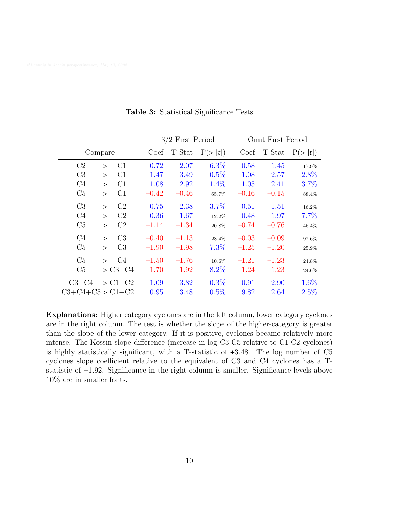<span id="page-9-0"></span>

|                          |              |                |         | $3/2$ First Period |         |         | Omit First Period |         |  |  |
|--------------------------|--------------|----------------|---------|--------------------|---------|---------|-------------------|---------|--|--|
|                          | Compare      |                | Coef    | T-Stat             | P(> t ) | Coef    | T-Stat            | P(> t ) |  |  |
| C <sub>2</sub>           | $\mathbf{L}$ | C1             | 0.72    | 2.07               | $6.3\%$ | 0.58    | 1.45              | 17.9%   |  |  |
| C <sub>3</sub>           | $\geq$       | C1             | 1.47    | 3.49               | 0.5%    | 1.08    | 2.57              | 2.8%    |  |  |
| C <sub>4</sub>           | $\geq$       | C1             | 1.08    | 2.92               | 1.4%    | 1.05    | 2.41              | 3.7%    |  |  |
| C <sub>5</sub>           | $\geq$       | C1             | $-0.42$ | $-0.46$            | 65.7%   | $-0.16$ | $-0.15$           | 88.4%   |  |  |
| C3                       | $\geq$       | C <sub>2</sub> | 0.75    | 2.38               | 3.7%    | 0.51    | 1.51              | 16.2%   |  |  |
| C <sub>4</sub>           | $\geq$       | C <sub>2</sub> | 0.36    | 1.67               | 12.2%   | 0.48    | 1.97              | 7.7%    |  |  |
| C <sub>5</sub>           | $\geq$       | C2             | $-1.14$ | $-1.34$            | 20.8%   | $-0.74$ | $-0.76$           | 46.4%   |  |  |
| C <sub>4</sub>           | $\geq$       | C <sub>3</sub> | $-0.40$ | $-1.13$            | 28.4%   | $-0.03$ | $-0.09$           | 92.6%   |  |  |
| C <sub>5</sub>           | $\geq$       | C <sub>3</sub> | $-1.90$ | $-1.98$            | 7.3%    | $-1.25$ | $-1.20$           | 25.9%   |  |  |
| C <sub>5</sub>           | $\mathbf{r}$ | C <sub>4</sub> | $-1.50$ | $-1.76$            | 10.6%   | $-1.21$ | $-1.23$           | 24.8%   |  |  |
| C5                       |              | $> C3 + C4$    | $-1.70$ | $-1.92$            | $8.2\%$ | $-1.24$ | $-1.23$           | 24.6%   |  |  |
| $C3 + C4$                |              | $>$ C1+C2      | 1.09    | 3.82               | $0.3\%$ | 0.91    | 2.90              | $1.6\%$ |  |  |
| $C3 + C4 + C5 > C1 + C2$ |              |                | 0.95    | 3.48               | $0.5\%$ | 9.82    | 2.64              | $2.5\%$ |  |  |

Table 3: Statistical Significance Tests

Explanations: Higher category cyclones are in the left column, lower category cyclones are in the right column. The test is whether the slope of the higher-category is greater than the slope of the lower category. If it is positive, cyclones became relatively more intense. The Kossin slope difference (increase in log C3-C5 relative to C1-C2 cyclones) is highly statistically significant, with a T-statistic of +3.48. The log number of C5 cyclones slope coefficient relative to the equivalent of C3 and C4 cyclones has a Tstatistic of −1.92. Significance in the right column is smaller. Significance levels above 10% are in smaller fonts.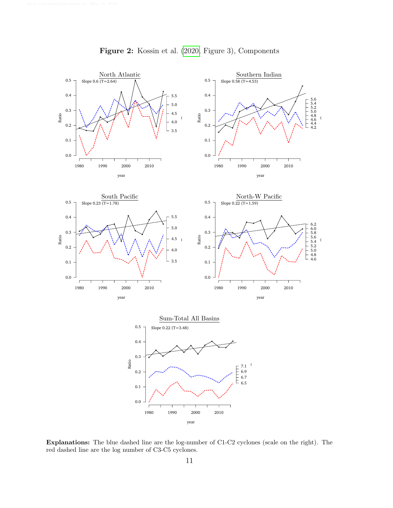<span id="page-10-0"></span>

Figure 2: Kossin et al. [\(2020,](#page-5-0) Figure 3), Components

Explanations: The blue dashed line are the log-number of C1-C2 cyclones (scale on the right). The red dashed line are the log number of C3-C5 cyclones.